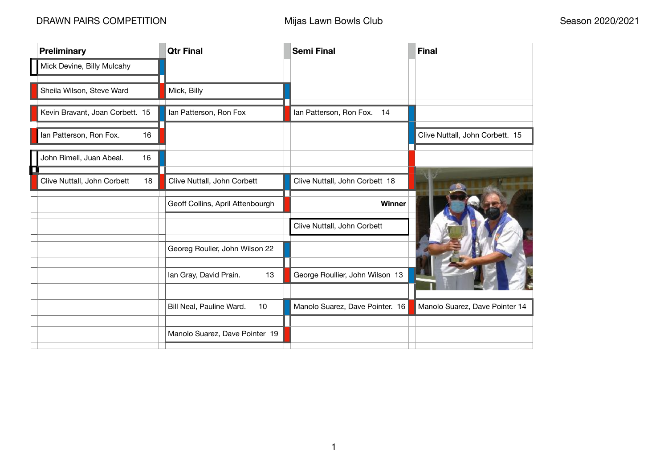| <b>Preliminary</b>                | <b>Qtr Final</b>                 | <b>Semi Final</b>               | <b>Final</b>                    |
|-----------------------------------|----------------------------------|---------------------------------|---------------------------------|
| Mick Devine, Billy Mulcahy        |                                  |                                 |                                 |
| Sheila Wilson, Steve Ward         | Mick, Billy                      |                                 |                                 |
| Kevin Bravant, Joan Corbett. 15   | Ian Patterson, Ron Fox           | Ian Patterson, Ron Fox.<br>14   |                                 |
| Ian Patterson, Ron Fox.<br>16     |                                  |                                 | Clive Nuttall, John Corbett. 15 |
| John Rimell, Juan Abeal.<br>16    |                                  |                                 |                                 |
| Clive Nuttall, John Corbett<br>18 | Clive Nuttall, John Corbett      | Clive Nuttall, John Corbett 18  |                                 |
|                                   | Geoff Collins, April Attenbourgh | <b>Winner</b>                   |                                 |
|                                   |                                  | Clive Nuttall, John Corbett     |                                 |
|                                   | Georeg Roulier, John Wilson 22   |                                 |                                 |
|                                   | 13<br>Ian Gray, David Prain.     | George Roullier, John Wilson 13 |                                 |
|                                   | Bill Neal, Pauline Ward.<br>10   | Manolo Suarez, Dave Pointer. 16 | Manolo Suarez, Dave Pointer 14  |
|                                   |                                  |                                 |                                 |
|                                   | Manolo Suarez, Dave Pointer 19   |                                 |                                 |

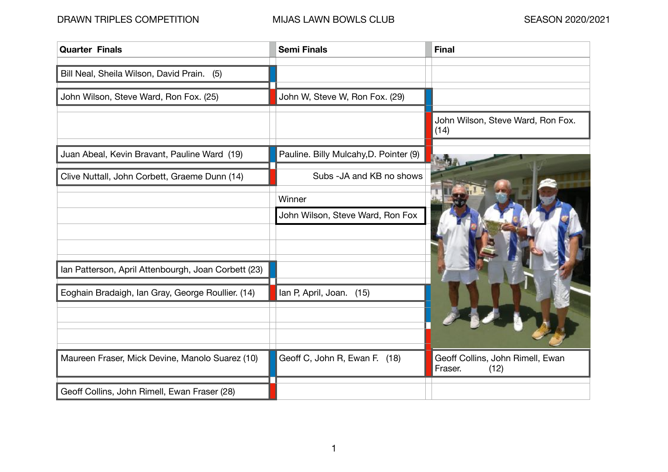| <b>Quarter Finals</b>                               | <b>Semi Finals</b>                     | <b>Final</b>                                        |
|-----------------------------------------------------|----------------------------------------|-----------------------------------------------------|
| Bill Neal, Sheila Wilson, David Prain. (5)          |                                        |                                                     |
| John Wilson, Steve Ward, Ron Fox. (25)              | John W, Steve W, Ron Fox. (29)         |                                                     |
|                                                     |                                        | John Wilson, Steve Ward, Ron Fox.<br>(14)           |
| Juan Abeal, Kevin Bravant, Pauline Ward (19)        | Pauline. Billy Mulcahy, D. Pointer (9) |                                                     |
| Clive Nuttall, John Corbett, Graeme Dunn (14)       | Subs - JA and KB no shows              |                                                     |
|                                                     | Winner                                 |                                                     |
|                                                     | John Wilson, Steve Ward, Ron Fox       |                                                     |
|                                                     |                                        |                                                     |
| Ian Patterson, April Attenbourgh, Joan Corbett (23) |                                        |                                                     |
| Eoghain Bradaigh, Ian Gray, George Roullier. (14)   | Ian P, April, Joan. (15)               |                                                     |
|                                                     |                                        |                                                     |
|                                                     |                                        |                                                     |
| Maureen Fraser, Mick Devine, Manolo Suarez (10)     | Geoff C, John R, Ewan F. (18)          | Geoff Collins, John Rimell, Ewan<br>Fraser.<br>(12) |
| Geoff Collins, John Rimell, Ewan Fraser (28)        |                                        |                                                     |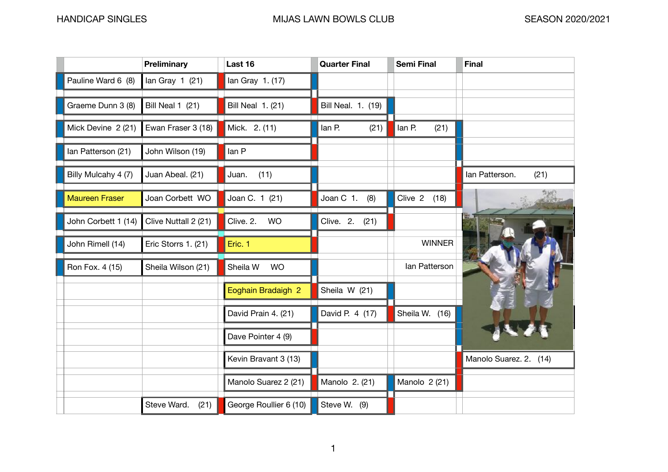|                       | <b>Preliminary</b>      | Last 16                  | <b>Quarter Final</b> | <b>Semi Final</b> | <b>Final</b>           |
|-----------------------|-------------------------|--------------------------|----------------------|-------------------|------------------------|
| Pauline Ward 6 (8)    | lan Gray $1(21)$        | lan Gray 1. (17)         |                      |                   |                        |
| Graeme Dunn 3 (8)     | <b>Bill Neal 1 (21)</b> | <b>Bill Neal 1. (21)</b> | Bill Neal. 1. (19)   |                   |                        |
| Mick Devine 2 (21)    | Ewan Fraser 3 (18)      | Mick. 2. (11)            | lan P.<br>(21)       | lan P.<br>(21)    |                        |
| Ian Patterson (21)    | John Wilson (19)        | lan P                    |                      |                   |                        |
| Billy Mulcahy 4 (7)   | Juan Abeal. (21)        | (11)<br>Juan.            |                      |                   | lan Patterson.<br>(21) |
| <b>Maureen Fraser</b> | Joan Corbett WO         | Joan C. 1 (21)           | Joan C 1.<br>(8)     | Clive 2<br>(18)   |                        |
| John Corbett 1 (14)   | Clive Nuttall 2 (21)    | Clive. 2.<br><b>WO</b>   | Clive. 2.<br>(21)    |                   |                        |
| John Rimell (14)      | Eric Storrs 1. (21)     | Eric. 1                  |                      | <b>WINNER</b>     |                        |
| Ron Fox. 4 (15)       | Sheila Wilson (21)      | Sheila W<br><b>WO</b>    |                      | lan Patterson     |                        |
|                       |                         | Eoghain Bradaigh 2       | Sheila W (21)        |                   |                        |
|                       |                         | David Prain 4. (21)      | David P. 4 (17)      | Sheila W. (16)    |                        |
|                       |                         | Dave Pointer 4 (9)       |                      |                   |                        |
|                       |                         | Kevin Bravant 3 (13)     |                      |                   | Manolo Suarez. 2. (14  |
|                       |                         | Manolo Suarez 2 (21)     | Manolo 2. (21)       | Manolo 2 (21)     |                        |
|                       | Steve Ward.<br>(21)     | George Roullier 6 (10)   | Steve W. (9)         |                   |                        |

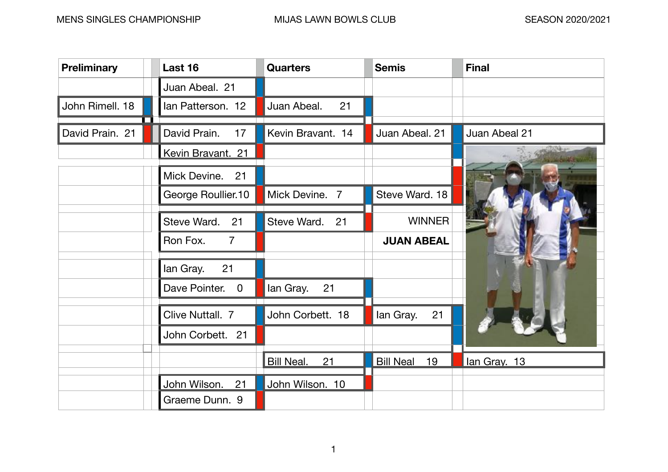| <b>Preliminary</b> | Last 16                                  | <b>Quarters</b>         | <b>Semis</b>           | <b>Final</b>  |
|--------------------|------------------------------------------|-------------------------|------------------------|---------------|
|                    | Juan Abeal. 21                           |                         |                        |               |
| John Rimell. 18    | Ian Patterson. 12                        | Juan Abeal.<br>21       |                        |               |
| David Prain. 21    | David Prain.<br>17                       | Kevin Bravant. 14       | Juan Abeal. 21         | Juan Abeal 21 |
|                    | Kevin Bravant. 21                        |                         |                        |               |
|                    | Mick Devine.<br>21                       |                         |                        |               |
|                    | George Roullier.10                       | Mick Devine. 7          | Steve Ward. 18         |               |
|                    | 21<br>Steve Ward.                        | Steve Ward. 21          | <b>WINNER</b>          |               |
|                    | Ron Fox.<br>$\overline{7}$               |                         | <b>JUAN ABEAL</b>      |               |
|                    | 21<br>lan Gray.                          |                         |                        |               |
|                    | Dave Pointer.<br>$\overline{\mathbf{0}}$ | 21<br>lan Gray.         |                        |               |
|                    | Clive Nuttall. 7                         | John Corbett. 18        | 21<br>lan Gray.        |               |
|                    | John Corbett. 21                         |                         |                        |               |
|                    |                                          | <b>Bill Neal.</b><br>21 | <b>Bill Neal</b><br>19 | lan Gray. 13  |
|                    | John Wilson.<br>21                       | John Wilson. 10         |                        |               |
|                    | Graeme Dunn. 9                           |                         |                        |               |